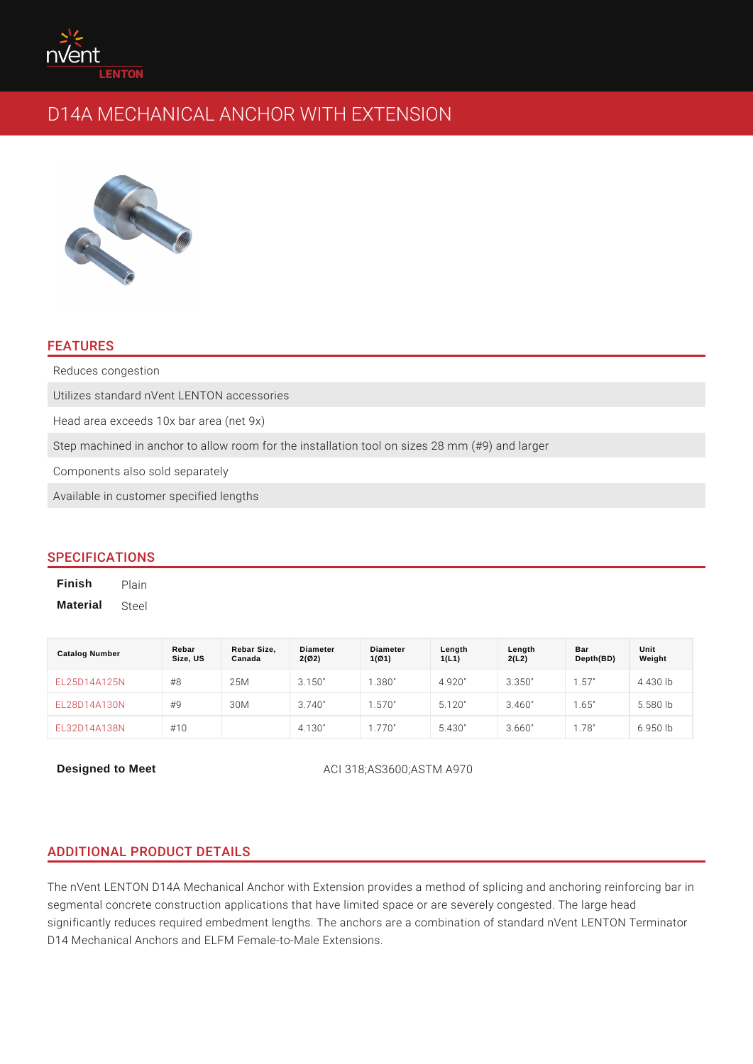# FEATURES

Reduces congestion Utilizes standard nVent LENTON accessories Head area exceeds 10x bar area (net 9x) Step machined in anchor to allow room for the installation tool on sizes 28 mm Components also sold separately Available in customer specified lengths

## SPECIFICATIONS

Finish Plain Material Steel

| Catalog Number          | Rebar<br>Size, US | Rebar Size,<br>Canada | Diameter<br>2(02) | Diameter<br>1(Ø1) | Length<br>1(L1) | Length<br>2(L2) | Bar<br>Depth(BD) | Unit<br>Weight |
|-------------------------|-------------------|-----------------------|-------------------|-------------------|-----------------|-----------------|------------------|----------------|
| EL25D14A125N            | #8                | 25M                   | 3.150"            | 1.380"            | 4.920"          | 3.350"          | 1.57"            | 4.430 lb       |
| E L 2 8 D 1 4 A 1 3 0 N | # 9               | 30M                   | 3.740"            | 1.570"            | 5.120"          | 3.460"          | 1.65"            | $5.580$ lb     |
| EL32D14A138N            | # 10              |                       | 4.130"            | 1.770"            | 5.430"          | 3.660"          | 1.78"            | $6.950$ lb     |

Designed to Meet  $ACI 318; ASS600; ASTM A970$ 

# ADDITIONAL PRODUCT DETAILS

The nVent LENTON D14A Mechanical Anchor with Extension provides a method of segmental concrete construction applications that have limited space or are sever significantly reduces required embedment lengths. The anchors are a combinatio D14 Mechanical Anchors and ELFM Female-to-Male Extensions.